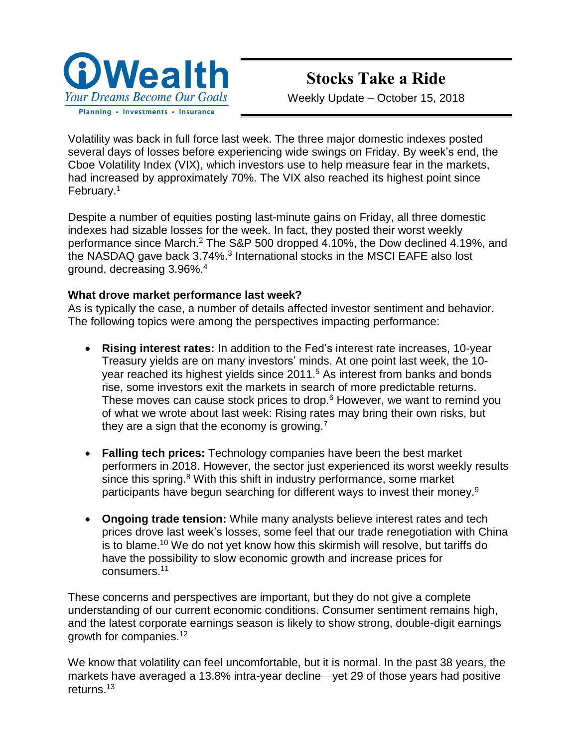

# **Stocks Take a Ride**

Weekly Update – October 15, 2018

Volatility was back in full force last week. The three major domestic indexes posted several days of losses before experiencing wide swings on Friday. By week's end, the Cboe Volatility Index (VIX), which investors use to help measure fear in the markets, had increased by approximately 70%. The VIX also reached its highest point since February.<sup>1</sup>

Despite a number of equities posting last-minute gains on Friday, all three domestic indexes had sizable losses for the week. In fact, they posted their worst weekly performance since March.<sup>2</sup> The S&P 500 dropped 4.10%, the Dow declined 4.19%, and the NASDAQ gave back 3.74%.<sup>3</sup> International stocks in the MSCI EAFE also lost ground, decreasing 3.96%. 4

## **What drove market performance last week?**

As is typically the case, a number of details affected investor sentiment and behavior. The following topics were among the perspectives impacting performance:

- **Rising interest rates:** In addition to the Fed's interest rate increases, 10-year Treasury yields are on many investors' minds. At one point last week, the 10 year reached its highest yields since 2011.<sup>5</sup> As interest from banks and bonds rise, some investors exit the markets in search of more predictable returns. These moves can cause stock prices to drop.<sup>6</sup> However, we want to remind you of what we wrote about last week: Rising rates may bring their own risks, but they are a sign that the economy is growing.<sup>7</sup>
- **Falling tech prices:** Technology companies have been the best market performers in 2018. However, the sector just experienced its worst weekly results since this spring.<sup>8</sup> With this shift in industry performance, some market participants have begun searching for different ways to invest their money.<sup>9</sup>
- **Ongoing trade tension:** While many analysts believe interest rates and tech prices drove last week's losses, some feel that our trade renegotiation with China is to blame.<sup>10</sup> We do not yet know how this skirmish will resolve, but tariffs do have the possibility to slow economic growth and increase prices for consumers.<sup>11</sup>

These concerns and perspectives are important, but they do not give a complete understanding of our current economic conditions. Consumer sentiment remains high, and the latest corporate earnings season is likely to show strong, double-digit earnings growth for companies.<sup>12</sup>

We know that volatility can feel uncomfortable, but it is normal. In the past 38 years, the markets have averaged a 13.8% intra-year decline—yet 29 of those years had positive returns.<sup>13</sup>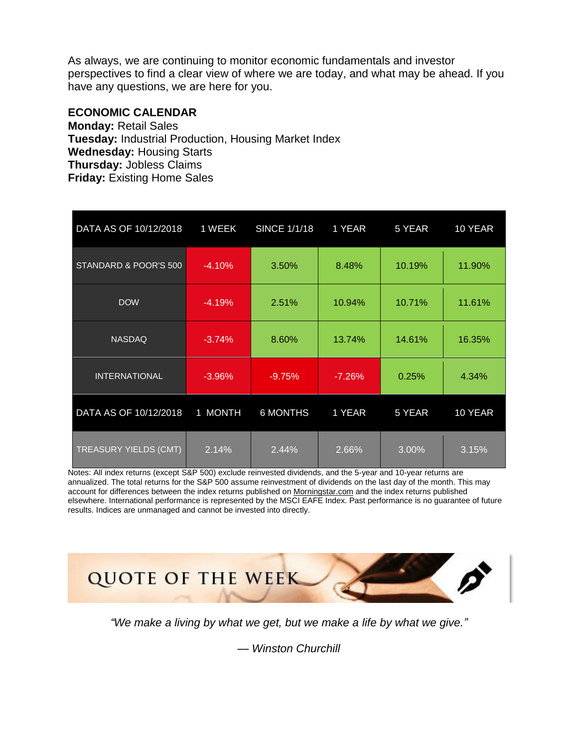As always, we are continuing to monitor economic fundamentals and investor perspectives to find a clear view of where we are today, and what may be ahead. If you have any questions, we are here for you.

#### **ECONOMIC CALENDAR**

**Monday:** Retail Sales **Tuesday:** Industrial Production, Housing Market Index **Wednesday:** Housing Starts **Thursday:** Jobless Claims **Friday:** Existing Home Sales

| DATA AS OF 10/12/2018 | 1 WEEK   | <b>SINCE 1/1/18</b> | 1 YEAR   | 5 YEAR | 10 YEAR |
|-----------------------|----------|---------------------|----------|--------|---------|
| STANDARD & POOR'S 500 | $-4.10%$ | 3.50%               | 8.48%    | 10.19% | 11.90%  |
| <b>DOW</b>            | $-4.19%$ | 2.51%               | 10.94%   | 10.71% | 11.61%  |
| <b>NASDAQ</b>         | $-3.74%$ | 8.60%               | 13.74%   | 14.61% | 16.35%  |
| <b>INTERNATIONAL</b>  | $-3.96%$ | $-9.75%$            | $-7.26%$ | 0.25%  | 4.34%   |
| DATA AS OF 10/12/2018 | 1 MONTH  | <b>6 MONTHS</b>     | 1 YEAR   | 5 YEAR | 10 YEAR |
| TREASURY YIELDS (CMT) | 2.14%    | 2.44%               | 2.66%    | 3.00%  | 3.15%   |

Notes: All index returns (except S&P 500) exclude reinvested dividends, and the 5-year and 10-year returns are annualized. The total returns for the S&P 500 assume reinvestment of dividends on the last day of the month. This may account for differences between the index returns published on [Morningstar.com](http://morningstar.com/) and the index returns published elsewhere. International performance is represented by the MSCI EAFE Index. Past performance is no guarantee of future results. Indices are unmanaged and cannot be invested into directly.



*"We make a living by what we get, but we make a life by what we give."* 

— *Winston Churchill*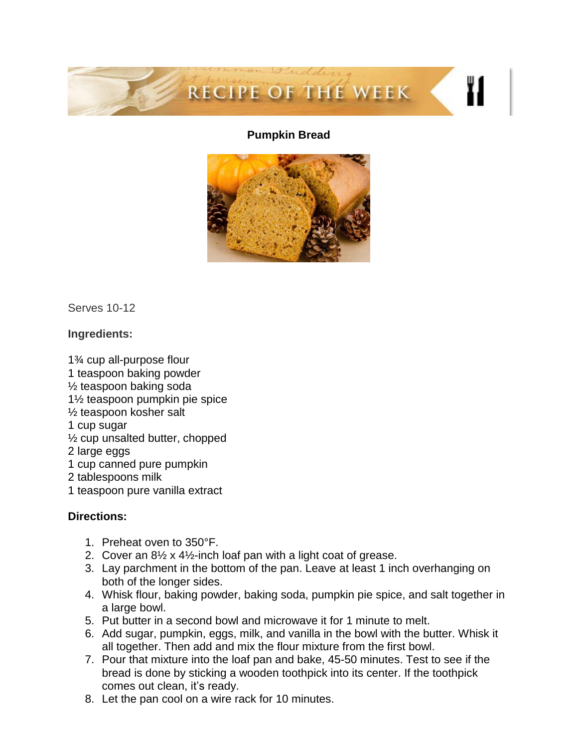

#### **Pumpkin Bread**



Serves 10-12

## **Ingredients:**

1¾ cup all-purpose flour 1 teaspoon baking powder ½ teaspoon baking soda 1½ teaspoon pumpkin pie spice ½ teaspoon kosher salt 1 cup sugar ½ cup unsalted butter, chopped 2 large eggs 1 cup canned pure pumpkin 2 tablespoons milk 1 teaspoon pure vanilla extract

# **Directions:**

- 1. Preheat oven to 350°F.
- 2. Cover an  $8\frac{1}{2}$  x 4 $\frac{1}{2}$ -inch loaf pan with a light coat of grease.
- 3. Lay parchment in the bottom of the pan. Leave at least 1 inch overhanging on both of the longer sides.
- 4. Whisk flour, baking powder, baking soda, pumpkin pie spice, and salt together in a large bowl.
- 5. Put butter in a second bowl and microwave it for 1 minute to melt.
- 6. Add sugar, pumpkin, eggs, milk, and vanilla in the bowl with the butter. Whisk it all together. Then add and mix the flour mixture from the first bowl.
- 7. Pour that mixture into the loaf pan and bake, 45-50 minutes. Test to see if the bread is done by sticking a wooden toothpick into its center. If the toothpick comes out clean, it's ready.
- 8. Let the pan cool on a wire rack for 10 minutes.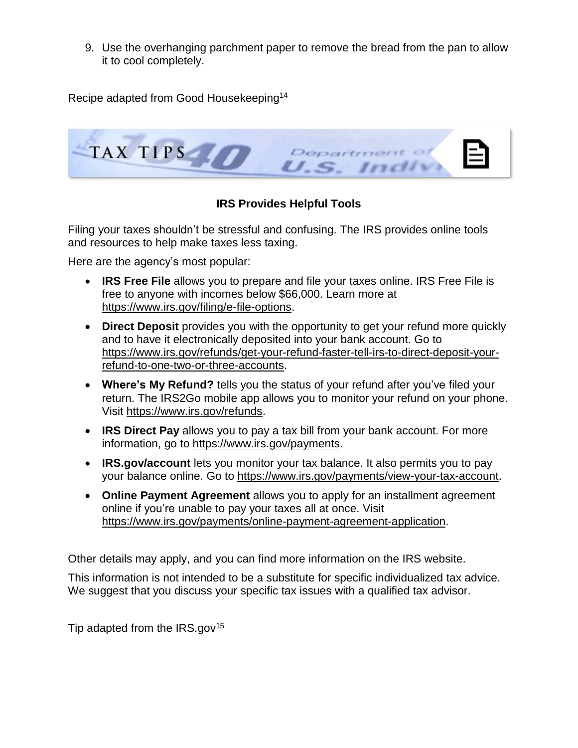9. Use the overhanging parchment paper to remove the bread from the pan to allow it to cool completely.

Recipe adapted from Good Housekeeping<sup>14</sup>



# **IRS Provides Helpful Tools**

Filing your taxes shouldn't be stressful and confusing. The IRS provides online tools and resources to help make taxes less taxing.

Here are the agency's most popular:

- **IRS Free File** allows you to prepare and file your taxes online. IRS Free File is free to anyone with incomes below \$66,000. Learn more at [https://www.irs.gov/filing/e-file-options.](https://www.irs.gov/filing/e-file-options)
- **Direct Deposit** provides you with the opportunity to get your refund more quickly and to have it electronically deposited into your bank account. Go to [https://www.irs.gov/refunds/get-your-refund-faster-tell-irs-to-direct-deposit-your](https://www.irs.gov/refunds/get-your-refund-faster-tell-irs-to-direct-deposit-your-refund-to-one-two-or-three-accounts)[refund-to-one-two-or-three-accounts.](https://www.irs.gov/refunds/get-your-refund-faster-tell-irs-to-direct-deposit-your-refund-to-one-two-or-three-accounts)
- **Where's My Refund?** tells you the status of your refund after you've filed your return. The IRS2Go mobile app allows you to monitor your refund on your phone. Visit [https://www.irs.gov/refunds.](https://www.irs.gov/refunds)
- **IRS Direct Pay** allows you to pay a tax bill from your bank account. For more information, go to [https://www.irs.gov/payments.](https://www.irs.gov/payments)
- **IRS.gov/account** lets you monitor your tax balance. It also permits you to pay your balance online. Go to [https://www.irs.gov/payments/view-your-tax-account.](https://www.irs.gov/payments/view-your-tax-account)
- **Online Payment Agreement** allows you to apply for an installment agreement online if you're unable to pay your taxes all at once. Visit [https://www.irs.gov/payments/online-payment-agreement-application.](https://www.irs.gov/payments/online-payment-agreement-application)

Other details may apply, and you can find more information on the IRS website.

This information is not intended to be a substitute for specific individualized tax advice. We suggest that you discuss your specific tax issues with a qualified tax advisor.

Tip adapted from the IRS.gov<sup>15</sup>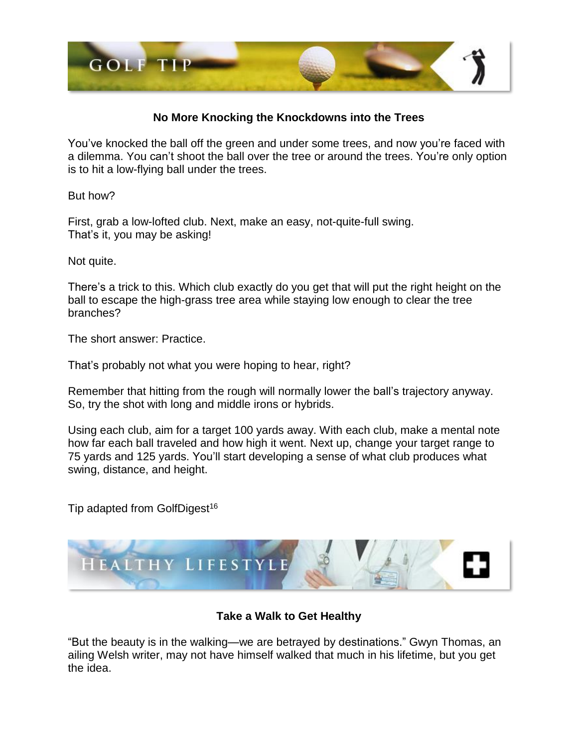

#### **No More Knocking the Knockdowns into the Trees**

You've knocked the ball off the green and under some trees, and now you're faced with a dilemma. You can't shoot the ball over the tree or around the trees. You're only option is to hit a low-flying ball under the trees.

But how?

First, grab a low-lofted club. Next, make an easy, not-quite-full swing. That's it, you may be asking!

Not quite.

There's a trick to this. Which club exactly do you get that will put the right height on the ball to escape the high-grass tree area while staying low enough to clear the tree branches?

The short answer: Practice.

That's probably not what you were hoping to hear, right?

Remember that hitting from the rough will normally lower the ball's trajectory anyway. So, try the shot with long and middle irons or hybrids.

Using each club, aim for a target 100 yards away. With each club, make a mental note how far each ball traveled and how high it went. Next up, change your target range to 75 yards and 125 yards. You'll start developing a sense of what club produces what swing, distance, and height.

Tip adapted from GolfDigest<sup>16</sup>



# **Take a Walk to Get Healthy**

"But the beauty is in the walking—we are betrayed by destinations." Gwyn Thomas, an ailing Welsh writer, may not have himself walked that much in his lifetime, but you get the idea.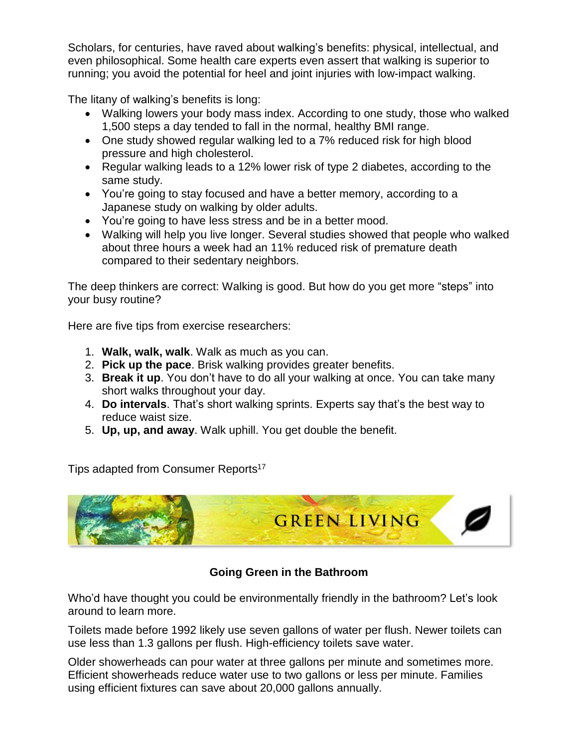Scholars, for centuries, have raved about walking's benefits: physical, intellectual, and even philosophical. Some health care experts even assert that walking is superior to running; you avoid the potential for heel and joint injuries with low-impact walking.

The litany of walking's benefits is long:

- Walking lowers your body mass index. According to one study, those who walked 1,500 steps a day tended to fall in the normal, healthy BMI range.
- One study showed regular walking led to a 7% reduced risk for high blood pressure and high cholesterol.
- Regular walking leads to a 12% lower risk of type 2 diabetes, according to the same study.
- You're going to stay focused and have a better memory, according to a Japanese study on walking by older adults.
- You're going to have less stress and be in a better mood.
- Walking will help you live longer. Several studies showed that people who walked about three hours a week had an 11% reduced risk of premature death compared to their sedentary neighbors.

The deep thinkers are correct: Walking is good. But how do you get more "steps" into your busy routine?

Here are five tips from exercise researchers:

- 1. **Walk, walk, walk**. Walk as much as you can.
- 2. **Pick up the pace**. Brisk walking provides greater benefits.
- 3. **Break it up**. You don't have to do all your walking at once. You can take many short walks throughout your day.
- 4. **Do intervals**. That's short walking sprints. Experts say that's the best way to reduce waist size.
- 5. **Up, up, and away**. Walk uphill. You get double the benefit.

Tips adapted from Consumer Reports<sup>17</sup>



# **Going Green in the Bathroom**

Who'd have thought you could be environmentally friendly in the bathroom? Let's look around to learn more.

Toilets made before 1992 likely use seven gallons of water per flush. Newer toilets can use less than 1.3 gallons per flush. High-efficiency toilets save water.

Older showerheads can pour water at three gallons per minute and sometimes more. Efficient showerheads reduce water use to two gallons or less per minute. Families using efficient fixtures can save about 20,000 gallons annually.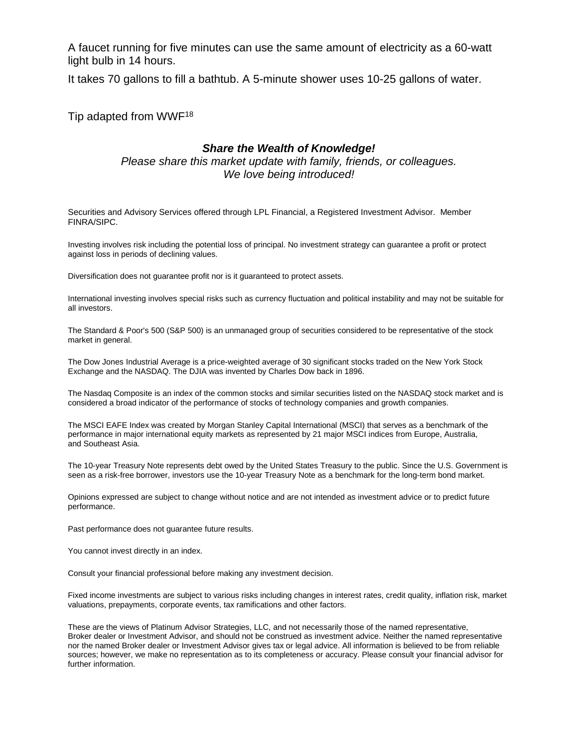A faucet running for five minutes can use the same amount of electricity as a 60-watt light bulb in 14 hours.

It takes 70 gallons to fill a bathtub. A 5-minute shower uses 10-25 gallons of water.

Tip adapted from WWF<sup>18</sup>

#### *Share the Wealth of Knowledge!*

*Please share this market update with family, friends, or colleagues. We love being introduced!*

Securities and Advisory Services offered through LPL Financial, a Registered Investment Advisor. Member FINRA/SIPC.

Investing involves risk including the potential loss of principal. No investment strategy can guarantee a profit or protect against loss in periods of declining values.

Diversification does not guarantee profit nor is it guaranteed to protect assets.

International investing involves special risks such as currency fluctuation and political instability and may not be suitable for all investors.

The Standard & Poor's 500 (S&P 500) is an unmanaged group of securities considered to be representative of the stock market in general.

The Dow Jones Industrial Average is a price-weighted average of 30 significant stocks traded on the New York Stock Exchange and the NASDAQ. The DJIA was invented by Charles Dow back in 1896.

The Nasdaq Composite is an index of the common stocks and similar securities listed on the NASDAQ stock market and is considered a broad indicator of the performance of stocks of technology companies and growth companies.

The MSCI EAFE Index was created by Morgan Stanley Capital International (MSCI) that serves as a benchmark of the performance in major international equity markets as represented by 21 major MSCI indices from Europe, Australia, and Southeast Asia.

The 10-year Treasury Note represents debt owed by the United States Treasury to the public. Since the U.S. Government is seen as a risk-free borrower, investors use the 10-year Treasury Note as a benchmark for the long-term bond market.

Opinions expressed are subject to change without notice and are not intended as investment advice or to predict future performance.

Past performance does not guarantee future results.

You cannot invest directly in an index.

Consult your financial professional before making any investment decision.

Fixed income investments are subject to various risks including changes in interest rates, credit quality, inflation risk, market valuations, prepayments, corporate events, tax ramifications and other factors.

These are the views of Platinum Advisor Strategies, LLC, and not necessarily those of the named representative, Broker dealer or Investment Advisor, and should not be construed as investment advice. Neither the named representative nor the named Broker dealer or Investment Advisor gives tax or legal advice. All information is believed to be from reliable sources; however, we make no representation as to its completeness or accuracy. Please consult your financial advisor for further information.